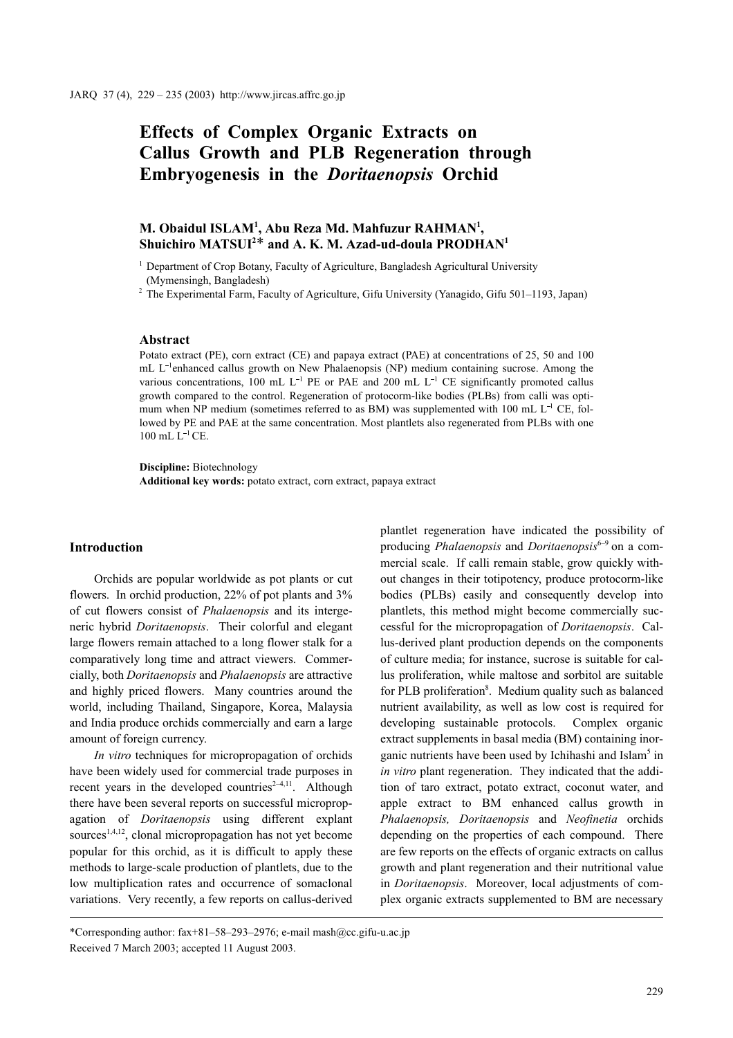# Effects of Complex Organic Extracts on Callus Growth and PLB Regeneration through Embryogenesis in the Doritaenopsis Orchid

# M. Obaidul ISLAM<sup>1</sup>, Abu Reza Md. Mahfuzur RAHMAN<sup>1</sup>, Shuichiro MATSUI<sup>2\*</sup> and A. K. M. Azad-ud-doula PRODHAN<sup>1</sup>

<sup>1</sup> Department of Crop Botany, Faculty of Agriculture, Bangladesh Agricultural University (Mymensingh, Bangladesh)

<sup>2</sup> The Experimental Farm, Faculty of Agriculture, Gifu University (Yanagido, Gifu 501–1193, Japan)

#### Abstract

Potato extract (PE), corn extract (CE) and papaya extract (PAE) at concentrations of 25, 50 and 100 mL  $L^{-1}$ enhanced callus growth on New Phalaenopsis (NP) medium containing sucrose. Among the various concentrations, 100 mL  $L^{-1}$  PE or PAE and 200 mL  $L^{-1}$  CE significantly promoted callus growth compared to the control. Regeneration of protocorm-like bodies (PLBs) from calli was optimum when NP medium (sometimes referred to as BM) was supplemented with 100 mL  $L^{-1}$  CE, followed by PE and PAE at the same concentration. Most plantlets also regenerated from PLBs with one  $100$  mL  $L^{-1}$  CE.

Discipline: Biotechnology Additional key words: potato extract, corn extract, papaya extract

#### Introduction

Orchids are popular worldwide as pot plants or cut flowers. In orchid production, 22% of pot plants and 3% of cut flowers consist of Phalaenopsis and its intergeneric hybrid Doritaenopsis. Their colorful and elegant large flowers remain attached to a long flower stalk for a comparatively long time and attract viewers. Commercially, both Doritaenopsis and Phalaenopsis are attractive and highly priced flowers. Many countries around the world, including Thailand, Singapore, Korea, Malaysia and India produce orchids commercially and earn a large amount of foreign currency.

In vitro techniques for micropropagation of orchids have been widely used for commercial trade purposes in recent years in the developed countries<sup> $2-4,11$ </sup>. Although there have been several reports on successful micropropagation of Doritaenopsis using different explant sources<sup>1,4,12</sup>, clonal micropropagation has not yet become popular for this orchid, as it is difficult to apply these methods to large-scale production of plantlets, due to the low multiplication rates and occurrence of somaclonal variations. Very recently, a few reports on callus-derived plantlet regeneration have indicated the possibility of producing *Phalaenopsis* and *Doritaenopsis*<sup>6-9</sup> on a commercial scale. If calli remain stable, grow quickly without changes in their totipotency, produce protocorm-like bodies (PLBs) easily and consequently develop into plantlets, this method might become commercially successful for the micropropagation of Doritaenopsis. Callus-derived plant production depends on the components of culture media; for instance, sucrose is suitable for callus proliferation, while maltose and sorbitol are suitable for PLB proliferation<sup>8</sup>. Medium quality such as balanced nutrient availability, as well as low cost is required for developing sustainable protocols. Complex organic extract supplements in basal media (BM) containing inorganic nutrients have been used by Ichihashi and Islam<sup>5</sup> in in vitro plant regeneration. They indicated that the addition of taro extract, potato extract, coconut water, and apple extract to BM enhanced callus growth in Phalaenopsis, Doritaenopsis and Neofinetia orchids depending on the properties of each compound. There are few reports on the effects of organic extracts on callus growth and plant regeneration and their nutritional value in Doritaenopsis. Moreover, local adjustments of complex organic extracts supplemented to BM are necessary

<sup>\*</sup>Corresponding author: fax+81–58–293–2976; e-mail mash@cc.gifu-u.ac.jp Received 7 March 2003; accepted 11 August 2003.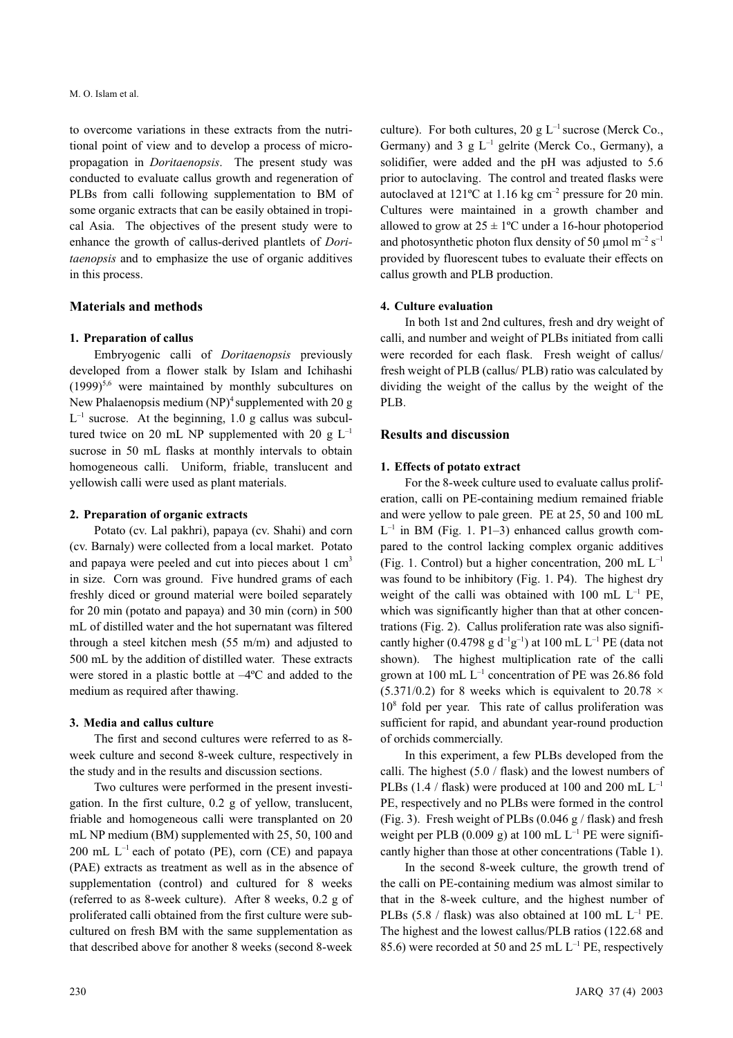to overcome variations in these extracts from the nutritional point of view and to develop a process of micropropagation in Doritaenopsis. The present study was conducted to evaluate callus growth and regeneration of PLBs from calli following supplementation to BM of some organic extracts that can be easily obtained in tropical Asia. The objectives of the present study were to enhance the growth of callus-derived plantlets of Doritaenopsis and to emphasize the use of organic additives in this process.

#### Materials and methods

#### 1. Preparation of callus

Embryogenic calli of Doritaenopsis previously developed from a flower stalk by Islam and Ichihashi  $(1999)^{5,6}$  were maintained by monthly subcultures on New Phalaenopsis medium  $(NP)^4$  supplemented with 20 g  $L^{-1}$  sucrose. At the beginning, 1.0 g callus was subcultured twice on 20 mL NP supplemented with 20 g  $L^{-1}$ sucrose in 50 mL flasks at monthly intervals to obtain homogeneous calli. Uniform, friable, translucent and yellowish calli were used as plant materials.

#### 2. Preparation of organic extracts

Potato (cv. Lal pakhri), papaya (cv. Shahi) and corn (cv. Barnaly) were collected from a local market. Potato and papaya were peeled and cut into pieces about  $1 \text{ cm}^3$ in size. Corn was ground. Five hundred grams of each freshly diced or ground material were boiled separately for 20 min (potato and papaya) and 30 min (corn) in 500 mL of distilled water and the hot supernatant was filtered through a steel kitchen mesh (55 m/m) and adjusted to 500 mL by the addition of distilled water. These extracts were stored in a plastic bottle at –4ºC and added to the medium as required after thawing.

#### 3. Media and callus culture

The first and second cultures were referred to as 8 week culture and second 8-week culture, respectively in the study and in the results and discussion sections.

Two cultures were performed in the present investigation. In the first culture, 0.2 g of yellow, translucent, friable and homogeneous calli were transplanted on 20 mL NP medium (BM) supplemented with 25, 50, 100 and 200 mL  $L^{-1}$  each of potato (PE), corn (CE) and papaya (PAE) extracts as treatment as well as in the absence of supplementation (control) and cultured for 8 weeks (referred to as 8-week culture). After 8 weeks, 0.2 g of proliferated calli obtained from the first culture were subcultured on fresh BM with the same supplementation as that described above for another 8 weeks (second 8-week culture). For both cultures, 20 g  $L^{-1}$  sucrose (Merck Co., Germany) and 3  $g L^{-1}$  gelrite (Merck Co., Germany), a solidifier, were added and the pH was adjusted to 5.6 prior to autoclaving. The control and treated flasks were autoclaved at  $121^{\circ}$ C at 1.16 kg cm<sup>-2</sup> pressure for 20 min. Cultures were maintained in a growth chamber and allowed to grow at  $25 \pm 1$ °C under a 16-hour photoperiod and photosynthetic photon flux density of 50  $\mu$ mol m<sup>-2</sup> s<sup>-1</sup> provided by fluorescent tubes to evaluate their effects on callus growth and PLB production.

#### 4. Culture evaluation

In both 1st and 2nd cultures, fresh and dry weight of calli, and number and weight of PLBs initiated from calli were recorded for each flask. Fresh weight of callus/ fresh weight of PLB (callus/ PLB) ratio was calculated by dividing the weight of the callus by the weight of the PLB.

### Results and discussion

#### 1. Effects of potato extract

For the 8-week culture used to evaluate callus proliferation, calli on PE-containing medium remained friable and were yellow to pale green. PE at 25, 50 and 100 mL  $L^{-1}$  in BM (Fig. 1. P1-3) enhanced callus growth compared to the control lacking complex organic additives (Fig. 1. Control) but a higher concentration, 200 mL  $L^{-1}$ was found to be inhibitory (Fig. 1. P4). The highest dry weight of the calli was obtained with 100 mL  $L^{-1}$  PE, which was significantly higher than that at other concentrations (Fig. 2). Callus proliferation rate was also significantly higher (0.4798 g  $d^{-1}g^{-1}$ ) at 100 mL L<sup>-1</sup> PE (data not shown). The highest multiplication rate of the calli grown at 100 mL  $L^{-1}$  concentration of PE was 26.86 fold (5.371/0.2) for 8 weeks which is equivalent to 20.78  $\times$ 10<sup>8</sup> fold per year. This rate of callus proliferation was sufficient for rapid, and abundant year-round production of orchids commercially.

In this experiment, a few PLBs developed from the calli. The highest (5.0 / flask) and the lowest numbers of PLBs (1.4 / flask) were produced at 100 and 200 mL  $L^{-1}$ PE, respectively and no PLBs were formed in the control (Fig. 3). Fresh weight of PLBs  $(0.046 \text{ g} / \text{flask})$  and fresh weight per PLB (0.009 g) at 100 mL  $L^{-1}$  PE were significantly higher than those at other concentrations (Table 1).

In the second 8-week culture, the growth trend of the calli on PE-containing medium was almost similar to that in the 8-week culture, and the highest number of PLBs (5.8 / flask) was also obtained at 100 mL  $L^{-1}$  PE. The highest and the lowest callus/PLB ratios (122.68 and 85.6) were recorded at 50 and 25 mL  $L^{-1}$  PE, respectively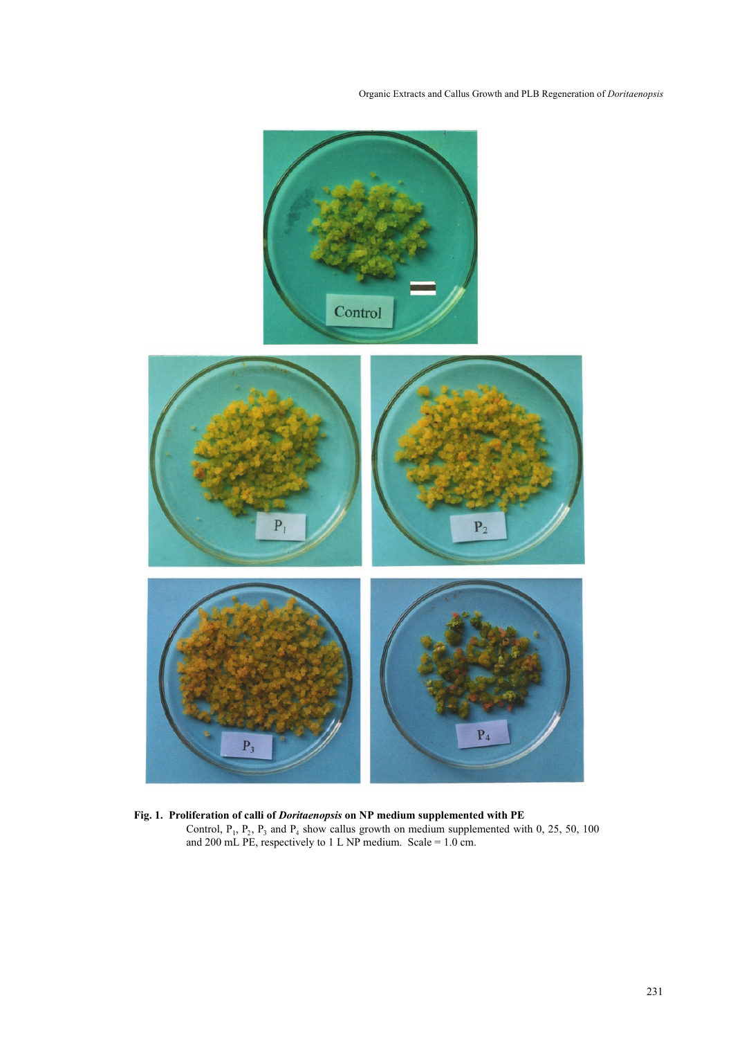Organic Extracts and Callus Growth and PLB Regeneration of Doritaenopsis



Fig. 1. Proliferation of calli of Doritaenopsis on NP medium supplemented with PE Control,  $P_1$ ,  $P_2$ ,  $P_3$  and  $P_4$  show callus growth on medium supplemented with 0, 25, 50, 100 and 200 mL PE, respectively to 1 L NP medium. Scale = 1.0 cm.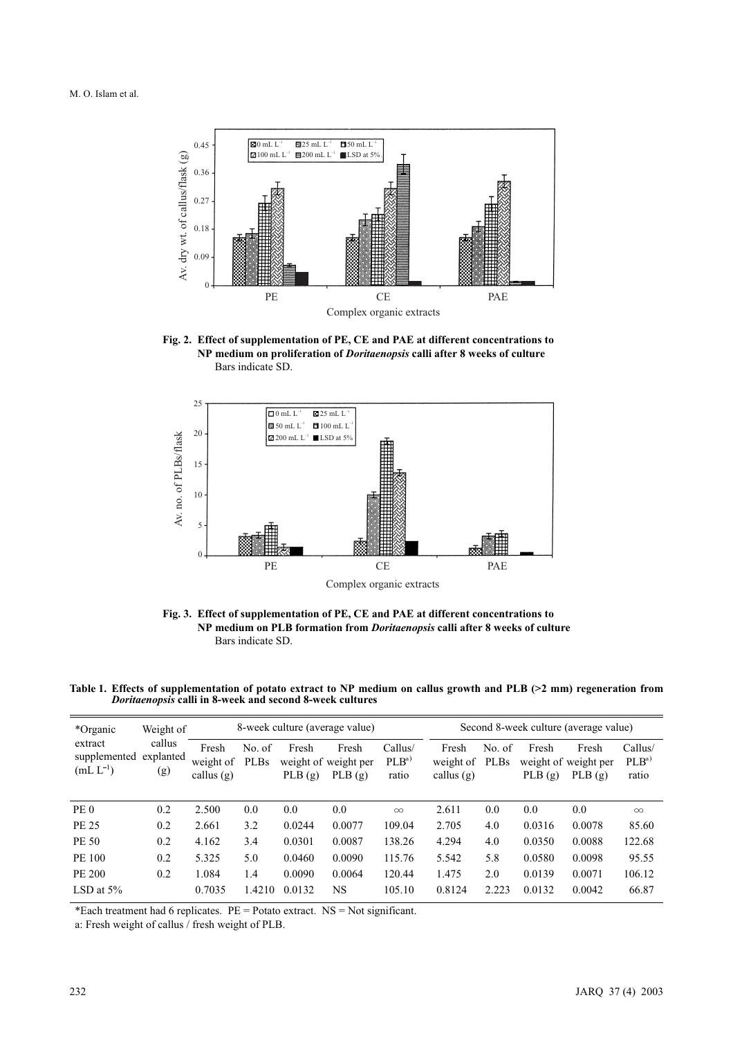

Fig. 2. Effect of supplementation of PE, CE and PAE at different concentrations to NP medium on proliferation of Doritaenopsis calli after 8 weeks of culture Bars indicate SD.



Fig. 3. Effect of supplementation of PE, CE and PAE at different concentrations to NP medium on PLB formation from Doritaenopsis calli after 8 weeks of culture Bars indicate SD.

Table 1. Effects of supplementation of potato extract to NP medium on callus growth and PLB (>2 mm) regeneration from Doritaenopsis calli in 8-week and second 8-week cultures

| *Organic<br>extract<br>supplemented<br>$(mL L^{-1})$ | Weight of<br>callus<br>explanted<br>(g) |                                    |                       |                 | 8-week culture (average value)          |                                      | Second 8-week culture (average value) |                |                 |                                         |                                      |
|------------------------------------------------------|-----------------------------------------|------------------------------------|-----------------------|-----------------|-----------------------------------------|--------------------------------------|---------------------------------------|----------------|-----------------|-----------------------------------------|--------------------------------------|
|                                                      |                                         | Fresh<br>weight of<br>callus $(g)$ | No. of<br><b>PLBs</b> | Fresh<br>PLB(g) | Fresh<br>weight of weight per<br>PLB(g) | Callus/<br>PLB <sup>a</sup><br>ratio | Fresh<br>weight of<br>callus $(g)$    | No. of<br>PLBs | Fresh<br>PLB(g) | Fresh<br>weight of weight per<br>PLB(g) | Callus/<br>PLB <sup>a</sup><br>ratio |
| PE <sub>0</sub>                                      | 0.2                                     | 2.500                              | 0.0                   | 0.0             | 0.0                                     | $\infty$                             | 2.611                                 | 0.0            | 0.0             | 0.0                                     | $\infty$                             |
| PE 25                                                | 0.2                                     | 2.661                              | 3.2                   | 0.0244          | 0.0077                                  | 109.04                               | 2.705                                 | 4.0            | 0.0316          | 0.0078                                  | 85.60                                |
| PE 50                                                | 0.2                                     | 4.162                              | 3.4                   | 0.0301          | 0.0087                                  | 138.26                               | 4.294                                 | 4.0            | 0.0350          | 0.0088                                  | 122.68                               |
| PE 100                                               | 0.2                                     | 5.325                              | 5.0                   | 0.0460          | 0.0090                                  | 115.76                               | 5.542                                 | 5.8            | 0.0580          | 0.0098                                  | 95.55                                |
| PE 200                                               | 0.2                                     | 1.084                              | 1.4                   | 0.0090          | 0.0064                                  | 120.44                               | 1.475                                 | 2.0            | 0.0139          | 0.0071                                  | 106.12                               |
| LSD at $5\%$                                         |                                         | 0.7035                             | 1.4210                | 0.0132          | NS                                      | 105.10                               | 0.8124                                | 2.223          | 0.0132          | 0.0042                                  | 66.87                                |

\*Each treatment had 6 replicates.  $PE =$  Potato extract.  $NS =$  Not significant.

a: Fresh weight of callus / fresh weight of PLB.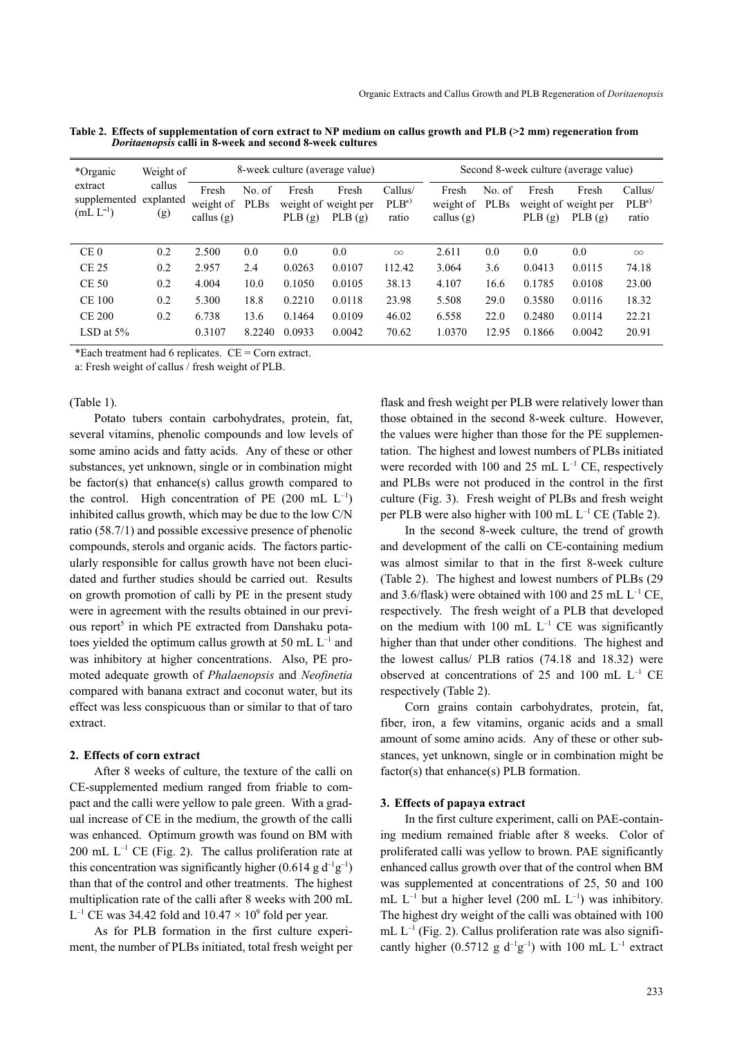| *Organic<br>extract<br>supplemented explanted<br>$(mL L^{-1})$ | Weight of<br>callus<br>(g) | 8-week culture (average value)     |                       |                 |                                         |                                      | Second 8-week culture (average value) |                       |                 |                                         |                                      |
|----------------------------------------------------------------|----------------------------|------------------------------------|-----------------------|-----------------|-----------------------------------------|--------------------------------------|---------------------------------------|-----------------------|-----------------|-----------------------------------------|--------------------------------------|
|                                                                |                            | Fresh<br>weight of<br>callus $(g)$ | No. of<br><b>PLBs</b> | Fresh<br>PLB(g) | Fresh<br>weight of weight per<br>PLB(g) | Callus/<br>PLB <sup>a</sup><br>ratio | Fresh<br>weight of<br>callus $(g)$    | No. of<br><b>PLBs</b> | Fresh<br>PLB(g) | Fresh<br>weight of weight per<br>PLB(g) | Callus/<br>PLB <sup>a</sup><br>ratio |
| CE <sub>0</sub>                                                | 0.2                        | 2.500                              | 0.0                   | 0.0             | 0.0                                     | $\infty$                             | 2.611                                 | 0.0                   | 0.0             | 0.0                                     | $\infty$                             |
| <b>CE 25</b>                                                   | 0.2                        | 2.957                              | 2.4                   | 0.0263          | 0.0107                                  | 112.42                               | 3.064                                 | 3.6                   | 0.0413          | 0.0115                                  | 74.18                                |
| <b>CE 50</b>                                                   | 0.2                        | 4.004                              | 10.0                  | 0.1050          | 0.0105                                  | 38.13                                | 4.107                                 | 16.6                  | 0.1785          | 0.0108                                  | 23.00                                |
| <b>CE 100</b>                                                  | 0.2                        | 5.300                              | 18.8                  | 0.2210          | 0.0118                                  | 23.98                                | 5.508                                 | 29.0                  | 0.3580          | 0.0116                                  | 18.32                                |
| <b>CE 200</b>                                                  | 0.2                        | 6.738                              | 13.6                  | 0.1464          | 0.0109                                  | 46.02                                | 6.558                                 | 22.0                  | 0.2480          | 0.0114                                  | 22.21                                |
| LSD at $5\%$                                                   |                            | 0.3107                             | 8.2240                | 0.0933          | 0.0042                                  | 70.62                                | 1.0370                                | 12.95                 | 0.1866          | 0.0042                                  | 20.91                                |

Table 2. Effects of supplementation of corn extract to NP medium on callus growth and PLB (>2 mm) regeneration from Doritaenopsis calli in 8-week and second 8-week cultures

\*Each treatment had 6 replicates. CE = Corn extract.

a: Fresh weight of callus / fresh weight of PLB.

#### (Table 1).

Potato tubers contain carbohydrates, protein, fat, several vitamins, phenolic compounds and low levels of some amino acids and fatty acids. Any of these or other substances, yet unknown, single or in combination might be factor(s) that enhance(s) callus growth compared to the control. High concentration of PE  $(200 \text{ mL L}^{-1})$ inhibited callus growth, which may be due to the low C/N ratio (58.7/1) and possible excessive presence of phenolic compounds, sterols and organic acids. The factors particularly responsible for callus growth have not been elucidated and further studies should be carried out. Results on growth promotion of calli by PE in the present study were in agreement with the results obtained in our previous report<sup>5</sup> in which PE extracted from Danshaku potatoes yielded the optimum callus growth at 50 mL  $L^{-1}$  and was inhibitory at higher concentrations. Also, PE promoted adequate growth of Phalaenopsis and Neofinetia compared with banana extract and coconut water, but its effect was less conspicuous than or similar to that of taro extract.

#### 2. Effects of corn extract

After 8 weeks of culture, the texture of the calli on CE-supplemented medium ranged from friable to compact and the calli were yellow to pale green. With a gradual increase of CE in the medium, the growth of the calli was enhanced. Optimum growth was found on BM with 200 mL  $L^{-1}$  CE (Fig. 2). The callus proliferation rate at this concentration was significantly higher  $(0.614 \text{ g d}^{-1} \text{g}^{-1})$ than that of the control and other treatments. The highest multiplication rate of the calli after 8 weeks with 200 mL  $L^{-1}$  CE was 34.42 fold and  $10.47 \times 10^9$  fold per year.

As for PLB formation in the first culture experiment, the number of PLBs initiated, total fresh weight per flask and fresh weight per PLB were relatively lower than those obtained in the second 8-week culture. However, the values were higher than those for the PE supplementation. The highest and lowest numbers of PLBs initiated were recorded with 100 and 25 mL  $L^{-1}$  CE, respectively and PLBs were not produced in the control in the first culture (Fig. 3). Fresh weight of PLBs and fresh weight per PLB were also higher with  $100 \text{ mL L}^{-1}$  CE (Table 2).

In the second 8-week culture, the trend of growth and development of the calli on CE-containing medium was almost similar to that in the first 8-week culture (Table 2). The highest and lowest numbers of PLBs (29 and 3.6/flask) were obtained with 100 and 25 mL  $L^{-1}$  CE, respectively. The fresh weight of a PLB that developed on the medium with  $100$  mL  $L^{-1}$  CE was significantly higher than that under other conditions. The highest and the lowest callus/ PLB ratios (74.18 and 18.32) were observed at concentrations of 25 and 100 mL L–1 CE respectively (Table 2).

Corn grains contain carbohydrates, protein, fat, fiber, iron, a few vitamins, organic acids and a small amount of some amino acids. Any of these or other substances, yet unknown, single or in combination might be factor(s) that enhance(s) PLB formation.

#### 3. Effects of papaya extract

In the first culture experiment, calli on PAE-containing medium remained friable after 8 weeks. Color of proliferated calli was yellow to brown. PAE significantly enhanced callus growth over that of the control when BM was supplemented at concentrations of 25, 50 and 100 mL  $L^{-1}$  but a higher level (200 mL  $L^{-1}$ ) was inhibitory. The highest dry weight of the calli was obtained with 100  $mL L^{-1}$  (Fig. 2). Callus proliferation rate was also significantly higher (0.5712 g  $d^{-1}g^{-1}$ ) with 100 mL L<sup>-1</sup> extract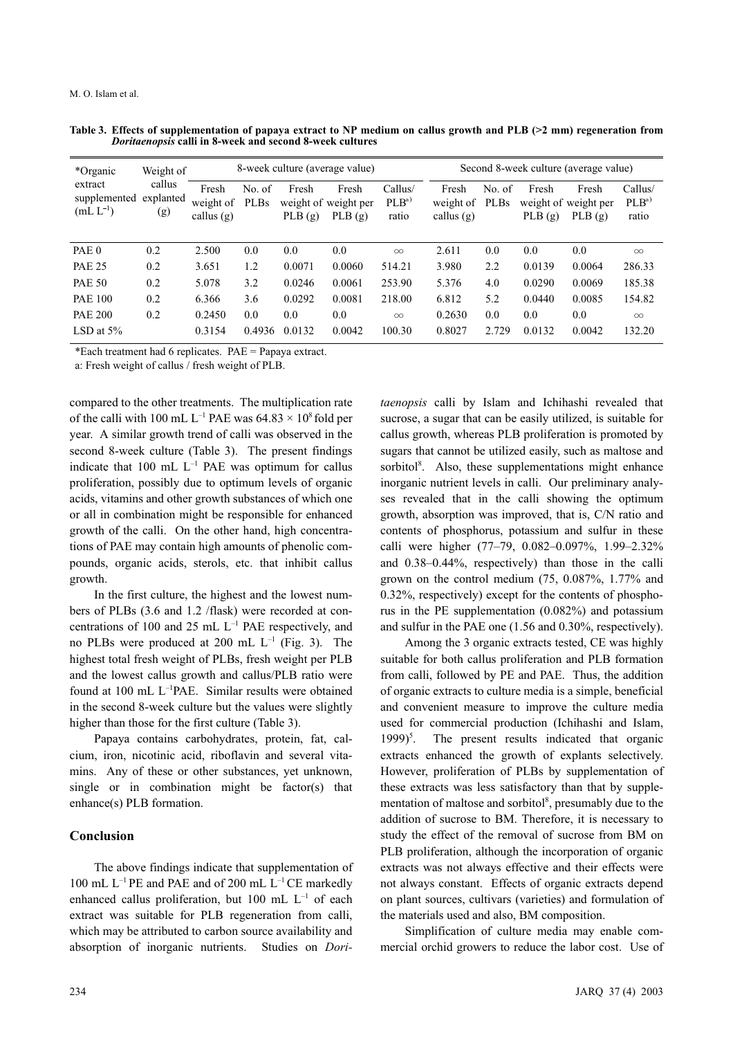| *Organic<br>extract<br>supplemented<br>$(mL L^{-1})$ | Weight of<br>callus<br>explanted<br>(g) | 8-week culture (average value)     |                       |                 |                                         |                                      | Second 8-week culture (average value) |                |                                         |                 |                                      |  |
|------------------------------------------------------|-----------------------------------------|------------------------------------|-----------------------|-----------------|-----------------------------------------|--------------------------------------|---------------------------------------|----------------|-----------------------------------------|-----------------|--------------------------------------|--|
|                                                      |                                         | Fresh<br>weight of<br>callus $(g)$ | No. of<br><b>PLBs</b> | Fresh<br>PLB(g) | Fresh<br>weight of weight per<br>PLB(g) | Callus/<br>PLB <sup>a</sup><br>ratio | Fresh<br>weight of<br>callus $(g)$    | No. of<br>PLBs | Fresh<br>weight of weight per<br>PLB(g) | Fresh<br>PLB(g) | Callus/<br>PLB <sup>a</sup><br>ratio |  |
| PAE <sub>0</sub>                                     | 0.2                                     | 2.500                              | 0.0                   | 0.0             | 0.0                                     | $\infty$                             | 2.611                                 | 0.0            | 0.0                                     | 0.0             | $\infty$                             |  |
| <b>PAE 25</b>                                        | 0.2                                     | 3.651                              | 1.2                   | 0.0071          | 0.0060                                  | 514.21                               | 3.980                                 | 2.2            | 0.0139                                  | 0.0064          | 286.33                               |  |
| <b>PAE 50</b>                                        | 0.2                                     | 5.078                              | 3.2                   | 0.0246          | 0.0061                                  | 253.90                               | 5.376                                 | 4.0            | 0.0290                                  | 0.0069          | 185.38                               |  |
| <b>PAE 100</b>                                       | 0.2                                     | 6.366                              | 3.6                   | 0.0292          | 0.0081                                  | 218.00                               | 6.812                                 | 5.2            | 0.0440                                  | 0.0085          | 154.82                               |  |
| <b>PAE 200</b>                                       | 0.2                                     | 0.2450                             | 0.0                   | 0.0             | 0.0                                     | $\infty$                             | 0.2630                                | 0.0            | 0.0                                     | 0.0             | $\infty$                             |  |
| LSD at $5\%$                                         |                                         | 0.3154                             | 0.4936                | 0.0132          | 0.0042                                  | 100.30                               | 0.8027                                | 2.729          | 0.0132                                  | 0.0042          | 132.20                               |  |

Table 3. Effects of supplementation of papaya extract to NP medium on callus growth and PLB (>2 mm) regeneration from Doritaenopsis calli in 8-week and second 8-week cultures

\*Each treatment had 6 replicates. PAE = Papaya extract.

a: Fresh weight of callus / fresh weight of PLB.

compared to the other treatments. The multiplication rate of the calli with 100 mL  $L^{-1}$  PAE was 64.83  $\times$  10<sup>8</sup> fold per year. A similar growth trend of calli was observed in the second 8-week culture (Table 3). The present findings indicate that  $100$  mL  $L^{-1}$  PAE was optimum for callus proliferation, possibly due to optimum levels of organic acids, vitamins and other growth substances of which one or all in combination might be responsible for enhanced growth of the calli. On the other hand, high concentrations of PAE may contain high amounts of phenolic compounds, organic acids, sterols, etc. that inhibit callus growth.

In the first culture, the highest and the lowest numbers of PLBs (3.6 and 1.2 /flask) were recorded at concentrations of 100 and 25 mL  $L^{-1}$  PAE respectively, and no PLBs were produced at 200 mL  $L^{-1}$  (Fig. 3). The highest total fresh weight of PLBs, fresh weight per PLB and the lowest callus growth and callus/PLB ratio were found at 100 mL L<sup>-1</sup>PAE. Similar results were obtained in the second 8-week culture but the values were slightly higher than those for the first culture (Table 3).

Papaya contains carbohydrates, protein, fat, calcium, iron, nicotinic acid, riboflavin and several vitamins. Any of these or other substances, yet unknown, single or in combination might be factor(s) that enhance(s) PLB formation.

## Conclusion

The above findings indicate that supplementation of 100 mL L<sup>-1</sup> PE and PAE and of 200 mL L<sup>-1</sup> CE markedly enhanced callus proliferation, but 100 mL  $L^{-1}$  of each extract was suitable for PLB regeneration from calli, which may be attributed to carbon source availability and absorption of inorganic nutrients. Studies on Doritaenopsis calli by Islam and Ichihashi revealed that sucrose, a sugar that can be easily utilized, is suitable for callus growth, whereas PLB proliferation is promoted by sugars that cannot be utilized easily, such as maltose and sorbitol<sup>8</sup>. Also, these supplementations might enhance inorganic nutrient levels in calli. Our preliminary analyses revealed that in the calli showing the optimum growth, absorption was improved, that is, C/N ratio and contents of phosphorus, potassium and sulfur in these calli were higher (77–79, 0.082–0.097%, 1.99–2.32% and 0.38–0.44%, respectively) than those in the calli grown on the control medium (75, 0.087%, 1.77% and 0.32%, respectively) except for the contents of phosphorus in the PE supplementation (0.082%) and potassium and sulfur in the PAE one (1.56 and 0.30%, respectively).

Among the 3 organic extracts tested, CE was highly suitable for both callus proliferation and PLB formation from calli, followed by PE and PAE. Thus, the addition of organic extracts to culture media is a simple, beneficial and convenient measure to improve the culture media used for commercial production (Ichihashi and Islam,  $1999)^5$ . . The present results indicated that organic extracts enhanced the growth of explants selectively. However, proliferation of PLBs by supplementation of these extracts was less satisfactory than that by supplementation of maltose and sorbitol<sup>8</sup>, presumably due to the addition of sucrose to BM. Therefore, it is necessary to study the effect of the removal of sucrose from BM on PLB proliferation, although the incorporation of organic extracts was not always effective and their effects were not always constant. Effects of organic extracts depend on plant sources, cultivars (varieties) and formulation of the materials used and also, BM composition.

Simplification of culture media may enable commercial orchid growers to reduce the labor cost. Use of